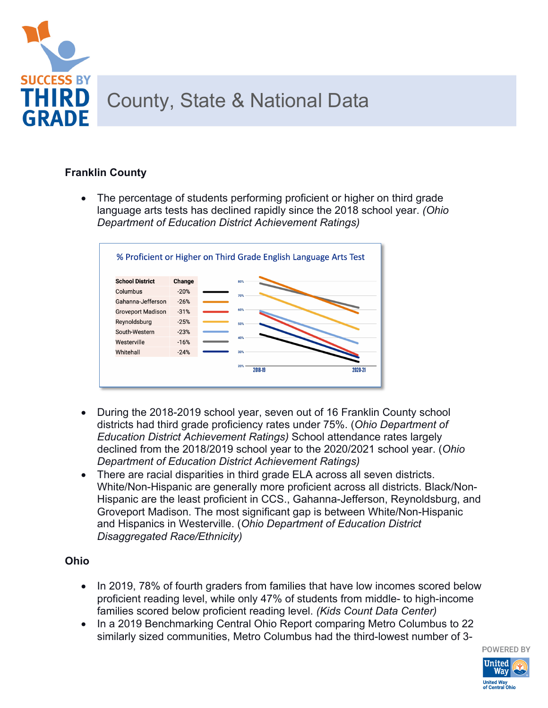

## **Franklin County**

• The percentage of students performing proficient or higher on third grade language arts tests has declined rapidly since the 2018 school year. *(Ohio Department of Education District Achievement Ratings)*



- During the 2018-2019 school year, seven out of 16 Franklin County school districts had third grade proficiency rates under 75%. (*Ohio Department of Education District Achievement Ratings)* School attendance rates largely declined from the 2018/2019 school year to the 2020/2021 school year. (*Ohio Department of Education District Achievement Ratings)*
- There are racial disparities in third grade ELA across all seven districts. White/Non-Hispanic are generally more proficient across all districts. Black/Non-Hispanic are the least proficient in CCS., Gahanna-Jefferson, Reynoldsburg, and Groveport Madison. The most significant gap is between White/Non-Hispanic and Hispanics in Westerville. (*Ohio Department of Education District Disaggregated Race/Ethnicity)*

## **Ohio**

- In 2019, 78% of fourth graders from families that have low incomes scored below proficient reading level, while only 47% of students from middle- to high-income families scored below proficient reading level. *(Kids Count Data Center)*
- In a 2019 Benchmarking Central Ohio Report comparing Metro Columbus to 22 similarly sized communities, Metro Columbus had the third-lowest number of 3-

**POWERED BY United** Wav **United Way<br>of Central Ohi**